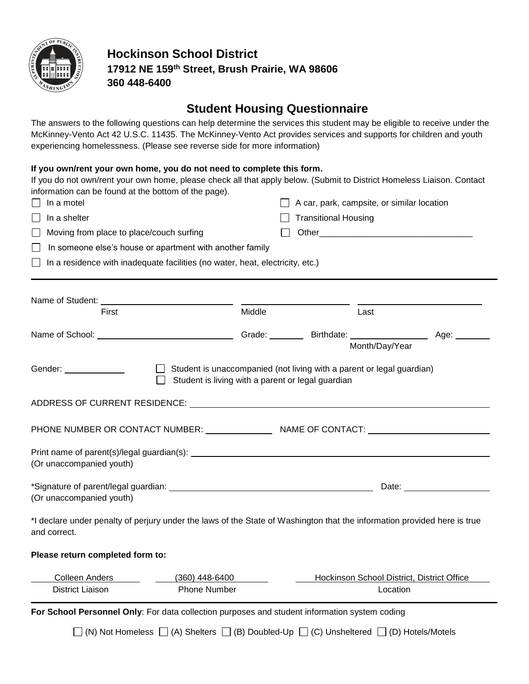

## **Hockinson School District 17912 NE 159th Street, Brush Prairie, WA 98606 360 448-6400**

# **Student Housing Questionnaire**

The answers to the following questions can help determine the services this student may be eligible to receive under the McKinney-Vento Act 42 U.S.C. 11435. The McKinney-Vento Act provides services and supports for children and youth experiencing homelessness. (Please see reverse side for more information)

### **If you own/rent your own home, you do not need to complete this form.**

If you do not own/rent your own home, please check all that apply below. (Submit to District Homeless Liaison. Contact information can be found at the bottom of the page).

| In a motel                                                                                                                               |                                                                               |        | A car, park, campsite, or similar location                            |                                            |
|------------------------------------------------------------------------------------------------------------------------------------------|-------------------------------------------------------------------------------|--------|-----------------------------------------------------------------------|--------------------------------------------|
| In a shelter                                                                                                                             |                                                                               |        | <b>Transitional Housing</b>                                           |                                            |
| Moving from place to place/couch surfing                                                                                                 |                                                                               |        |                                                                       |                                            |
|                                                                                                                                          | In someone else's house or apartment with another family                      |        |                                                                       |                                            |
|                                                                                                                                          | In a residence with inadequate facilities (no water, heat, electricity, etc.) |        |                                                                       |                                            |
|                                                                                                                                          |                                                                               |        |                                                                       |                                            |
|                                                                                                                                          |                                                                               |        |                                                                       |                                            |
| Name of Student: Name of Student:<br>First                                                                                               |                                                                               | Middle | Last                                                                  |                                            |
|                                                                                                                                          |                                                                               |        |                                                                       | Age: $\qquad \qquad$                       |
|                                                                                                                                          |                                                                               |        |                                                                       | Month/Day/Year                             |
|                                                                                                                                          |                                                                               |        |                                                                       |                                            |
| Gender: ______________                                                                                                                   | $\mathbf{1}$<br>Student is living with a parent or legal guardian             |        | Student is unaccompanied (not living with a parent or legal guardian) |                                            |
|                                                                                                                                          |                                                                               |        |                                                                       |                                            |
|                                                                                                                                          |                                                                               |        |                                                                       |                                            |
|                                                                                                                                          |                                                                               |        |                                                                       |                                            |
|                                                                                                                                          |                                                                               |        |                                                                       |                                            |
|                                                                                                                                          |                                                                               |        |                                                                       |                                            |
| (Or unaccompanied youth)                                                                                                                 |                                                                               |        |                                                                       |                                            |
|                                                                                                                                          |                                                                               |        |                                                                       |                                            |
| (Or unaccompanied youth)                                                                                                                 |                                                                               |        |                                                                       |                                            |
|                                                                                                                                          |                                                                               |        |                                                                       |                                            |
| *I declare under penalty of perjury under the laws of the State of Washington that the information provided here is true<br>and correct. |                                                                               |        |                                                                       |                                            |
| Please return completed form to:                                                                                                         |                                                                               |        |                                                                       |                                            |
| Colleen Anders                                                                                                                           | $(360)$ 448-6400                                                              |        |                                                                       | Hockinson School District, District Office |
| <b>District Liaison</b>                                                                                                                  | <b>Phone Number</b>                                                           |        |                                                                       | Location                                   |
| For School Personnel Only: For data collection purposes and student information system coding                                            |                                                                               |        |                                                                       |                                            |
|                                                                                                                                          |                                                                               |        |                                                                       |                                            |

 $\Box$  (N) Not Homeless  $\Box$  (A) Shelters  $\Box$  (B) Doubled-Up  $\Box$  (C) Unsheltered  $\Box$  (D) Hotels/Motels